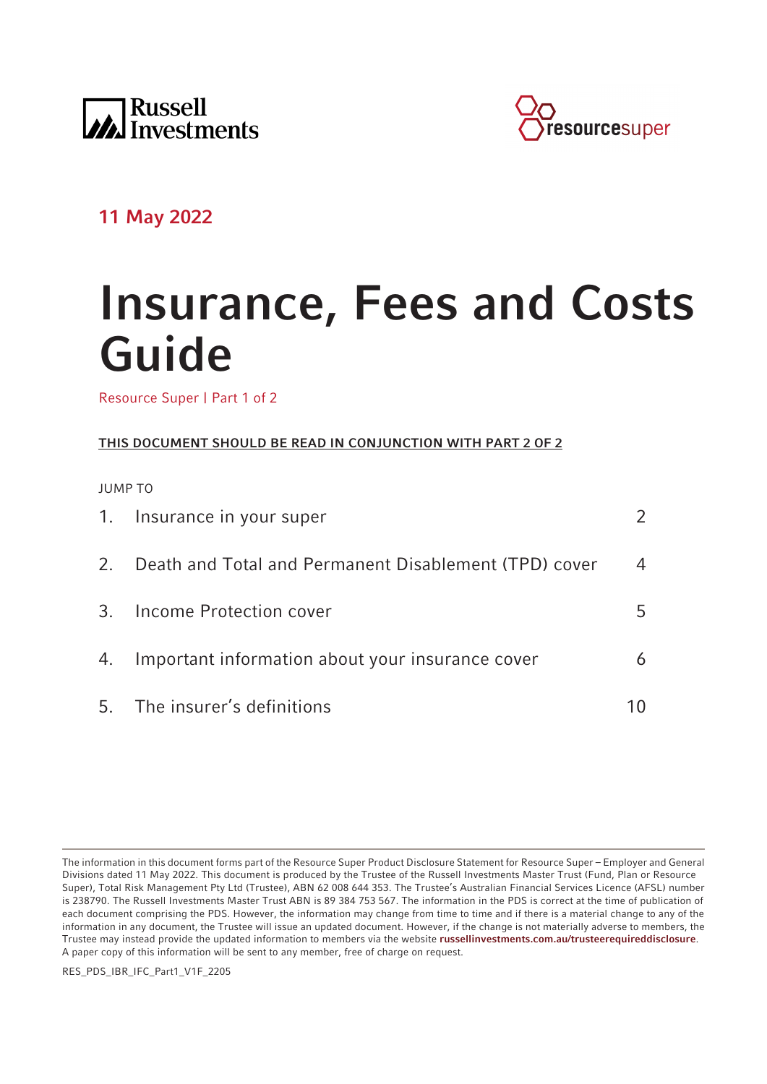



# **11 May 2022**

# **Insurance, Fees and Costs Guide**

Resource Super | Part 1 of 2

# **THIS DOCUMENT SHOULD BE READ IN CONJUNCTION WITH PART 2 OF 2**

JUMP TO

|    | 1. Insurance in your super                            |    |
|----|-------------------------------------------------------|----|
| 2. | Death and Total and Permanent Disablement (TPD) cover | 4  |
|    | 3. Income Protection cover                            | 5. |
|    | 4. Important information about your insurance cover   | 6  |
|    | 5. The insurer's definitions                          |    |

The information in this document forms part of the Resource Super Product Disclosure Statement for Resource Super – Employer and General Divisions dated 11 May 2022. This document is produced by the Trustee of the Russell Investments Master Trust (Fund, Plan or Resource Super), Total Risk Management Pty Ltd (Trustee), ABN 62 008 644 353. The Trustee's Australian Financial Services Licence (AFSL) number is 238790. The Russell Investments Master Trust ABN is 89 384 753 567. The information in the PDS is correct at the time of publication of each document comprising the PDS. However, the information may change from time to time and if there is a material change to any of the information in any document, the Trustee will issue an updated document. However, if the change is not materially adverse to members, the Trustee may instead provide the updated information to members via the website **[russellinvestments.com.au/trusteerequireddisclosure](https://russellinvestments.com.au/trusteerequireddisclosure)**. A paper copy of this information will be sent to any member, free of charge on request.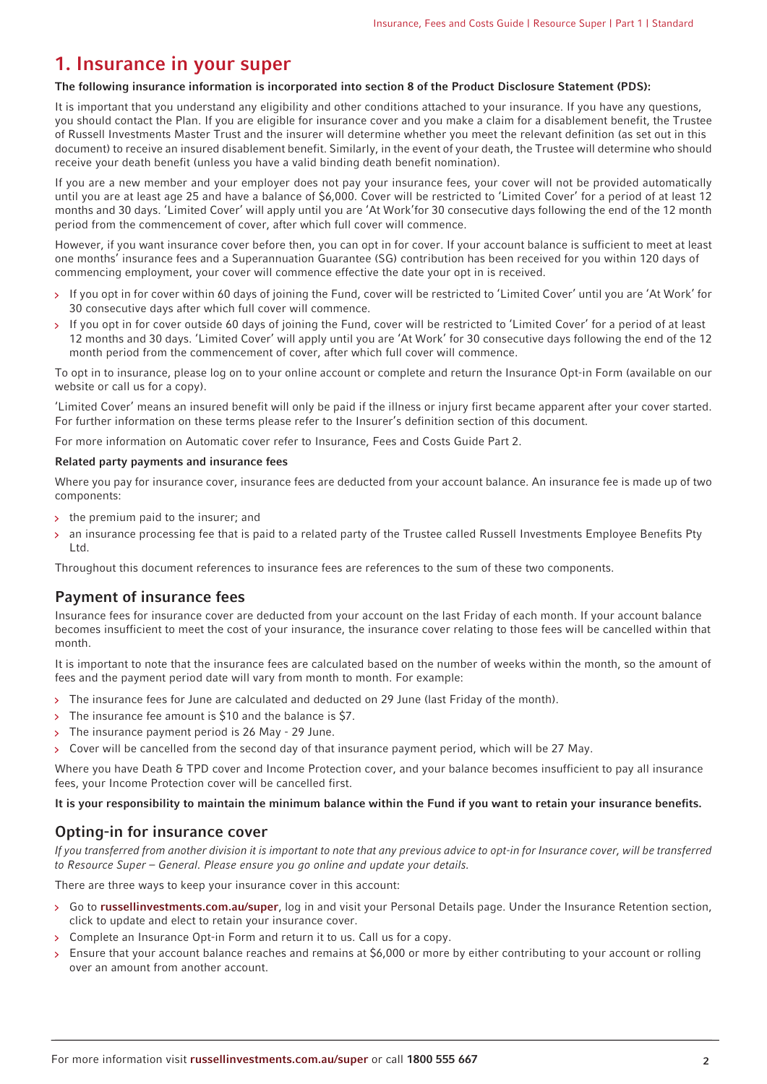# <span id="page-1-0"></span>**1. Insurance in your super**

#### **The following insurance information is incorporated into section 8 of the Product Disclosure Statement (PDS):**

It is important that you understand any eligibility and other conditions attached to your insurance. If you have any questions, you should contact the Plan. If you are eligible for insurance cover and you make a claim for a disablement benefit, the Trustee of Russell Investments Master Trust and the insurer will determine whether you meet the relevant definition (as set out in this document) to receive an insured disablement benefit. Similarly, in the event of your death, the Trustee will determine who should receive your death benefit (unless you have a valid binding death benefit nomination).

If you are a new member and your employer does not pay your insurance fees, your cover will not be provided automatically until you are at least age 25 and have a balance of \$6,000. Cover will be restricted to 'Limited Cover' for a period of at least 12 months and 30 days. 'Limited Cover' will apply until you are 'At Work'for 30 consecutive days following the end of the 12 month period from the commencement of cover, after which full cover will commence.

However, if you want insurance cover before then, you can opt in for cover. If your account balance is sufficient to meet at least one months' insurance fees and a Superannuation Guarantee (SG) contribution has been received for you within 120 days of commencing employment, your cover will commence effective the date your opt in is received.

- > If you opt in for cover within 60 days of joining the Fund, cover will be restricted to 'Limited Cover' until you are 'At Work' for 30 consecutive days after which full cover will commence.
- If you opt in for cover outside 60 days of joining the Fund, cover will be restricted to 'Limited Cover' for a period of at least  $\mathbf{S}$ 12 months and 30 days. 'Limited Cover' will apply until you are 'At Work' for 30 consecutive days following the end of the 12 month period from the commencement of cover, after which full cover will commence.

To opt in to insurance, please log on to your online account or complete and return the Insurance Opt-in Form (available on our website or call us for a copy).

'Limited Cover' means an insured benefit will only be paid if the illness or injury first became apparent after your cover started. For further information on these terms please refer to the Insurer's definition section of this document.

For more information on Automatic cover refer to Insurance, Fees and Costs Guide Part 2.

#### **Related party payments and insurance fees**

Where you pay for insurance cover, insurance fees are deducted from your account balance. An insurance fee is made up of two components:

- $\frac{1}{2}$  the premium paid to the insurer; and
- an insurance processing fee that is paid to a related party of the Trustee called Russell Investments Employee Benefits Pty Ltd.

Throughout this document references to insurance fees are references to the sum of these two components.

## **Payment of insurance fees**

Insurance fees for insurance cover are deducted from your account on the last Friday of each month. If your account balance becomes insufficient to meet the cost of your insurance, the insurance cover relating to those fees will be cancelled within that month.

It is important to note that the insurance fees are calculated based on the number of weeks within the month, so the amount of fees and the payment period date will vary from month to month. For example:

- > The insurance fees for June are calculated and deducted on 29 June (last Friday of the month).
- $\mathbf{v}$ The insurance fee amount is \$10 and the balance is \$7.
- The insurance payment period is 26 May 29 June.
- > Cover will be cancelled from the second day of that insurance payment period, which will be 27 May.

Where you have Death & TPD cover and Income Protection cover, and your balance becomes insufficient to pay all insurance fees, your Income Protection cover will be cancelled first.

#### **It is your responsibility to maintain the minimum balance within the Fund if you want to retain your insurance benefits.**

## **Opting-in for insurance cover**

If you transferred from another division it is important to note that any previous advice to opt-in for Insurance cover, will be transferred to Resource Super – General. Please ensure you go online and update your details.

There are three ways to keep your insurance cover in this account:

- Go to **[russellinvestments.com.au/super](https://russellinvestments.com.au/super)**, log in and visit your Personal Details page. Under the Insurance Retention section, click to update and elect to retain your insurance cover.
- Complete an Insurance Opt-in Form and return it to us. Call us for a copy.
- Ensure that your account balance reaches and remains at \$6,000 or more by either contributing to your account or rolling over an amount from another account.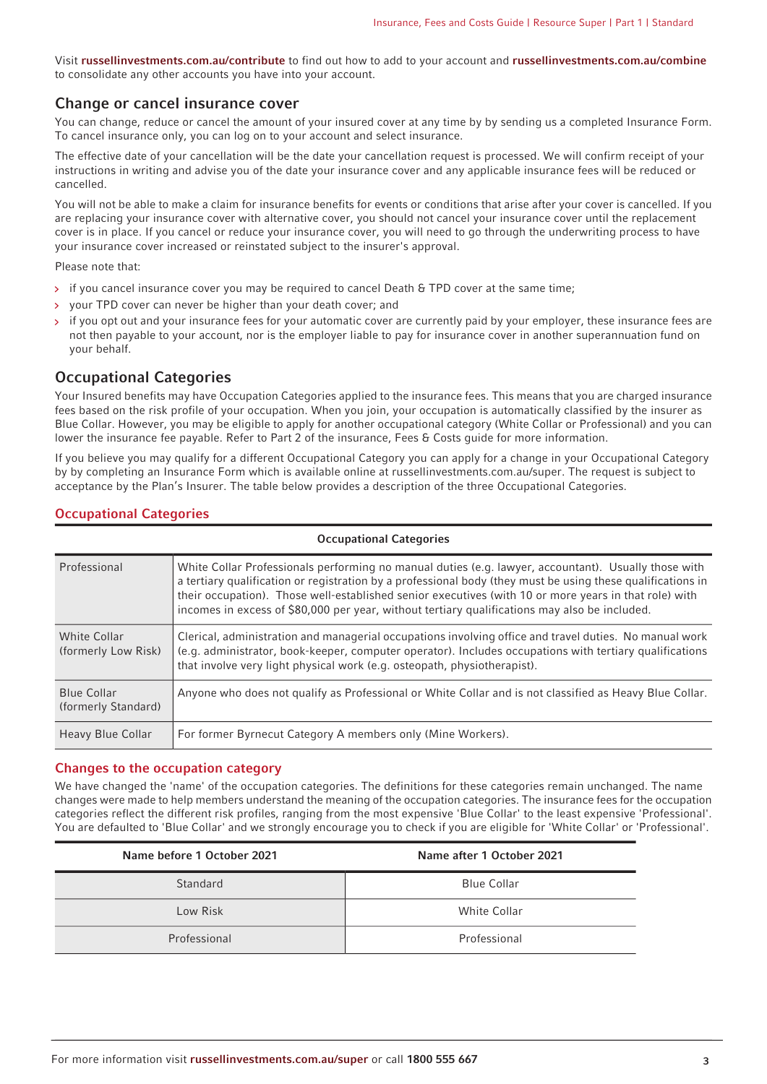Visit **[russellinvestments.com.au/contribute](https://russellinvestments.com.au/contribute)** to find out how to add to your account and **[russellinvestments.com.au/combine](https://russellinvestments.com.au/combine)** to consolidate any other accounts you have into your account.

#### **Change or cancel insurance cover**

You can change, reduce or cancel the amount of your insured cover at any time by by sending us a completed Insurance Form. To cancel insurance only, you can log on to your account and select insurance.

The effective date of your cancellation will be the date your cancellation request is processed. We will confirm receipt of your instructions in writing and advise you of the date your insurance cover and any applicable insurance fees will be reduced or cancelled.

You will not be able to make a claim for insurance benefits for events or conditions that arise after your cover is cancelled. If you are replacing your insurance cover with alternative cover, you should not cancel your insurance cover until the replacement cover is in place. If you cancel or reduce your insurance cover, you will need to go through the underwriting process to have your insurance cover increased or reinstated subject to the insurer's approval.

Please note that:

- if you cancel insurance cover you may be required to cancel Death & TPD cover at the same time;
- your TPD cover can never be higher than your death cover; and
- if you opt out and your insurance fees for your automatic cover are currently paid by your employer, these insurance fees are not then payable to your account, nor is the employer liable to pay for insurance cover in another superannuation fund on your behalf.

#### **Occupational Categories**

Your Insured benefits may have Occupation Categories applied to the insurance fees. This means that you are charged insurance fees based on the risk profile of your occupation. When you join, your occupation is automatically classified by the insurer as Blue Collar. However, you may be eligible to apply for another occupational category (White Collar or Professional) and you can lower the insurance fee payable. Refer to Part 2 of the insurance, Fees & Costs quide for more information.

If you believe you may qualify for a different Occupational Category you can apply for a change in your Occupational Category by by completing an Insurance Form which is available online at russellinvestments.com.au/super. The request is subject to acceptance by the Plan's Insurer. The table below provides a description of the three Occupational Categories.

#### **Occupational Categories**

| <b>Occupational Categories</b>             |                                                                                                                                                                                                                                                                                                                                                                                                                               |  |  |  |
|--------------------------------------------|-------------------------------------------------------------------------------------------------------------------------------------------------------------------------------------------------------------------------------------------------------------------------------------------------------------------------------------------------------------------------------------------------------------------------------|--|--|--|
| Professional                               | White Collar Professionals performing no manual duties (e.g. lawyer, accountant). Usually those with<br>a tertiary qualification or registration by a professional body (they must be using these qualifications in<br>their occupation). Those well-established senior executives (with 10 or more years in that role) with<br>incomes in excess of \$80,000 per year, without tertiary qualifications may also be included. |  |  |  |
| <b>White Collar</b><br>(formerly Low Risk) | Clerical, administration and managerial occupations involving office and travel duties. No manual work<br>(e.g. administrator, book-keeper, computer operator). Includes occupations with tertiary qualifications<br>that involve very light physical work (e.g. osteopath, physiotherapist).                                                                                                                                 |  |  |  |
| <b>Blue Collar</b><br>(formerly Standard)  | Anyone who does not qualify as Professional or White Collar and is not classified as Heavy Blue Collar.                                                                                                                                                                                                                                                                                                                       |  |  |  |
| Heavy Blue Collar                          | For former Byrnecut Category A members only (Mine Workers).                                                                                                                                                                                                                                                                                                                                                                   |  |  |  |

#### **Changes to the occupation category**

We have changed the 'name' of the occupation categories. The definitions for these categories remain unchanged. The name changes were made to help members understand the meaning of the occupation categories. The insurance fees for the occupation categories reflect the different risk profiles, ranging from the most expensive 'Blue Collar' to the least expensive 'Professional'. You are defaulted to 'Blue Collar' and we strongly encourage you to check if you are eligible for 'White Collar' or 'Professional'.

| Name before 1 October 2021 | Name after 1 October 2021 |
|----------------------------|---------------------------|
| Standard                   | <b>Blue Collar</b>        |
| Low Risk                   | White Collar              |
| Professional               | Professional              |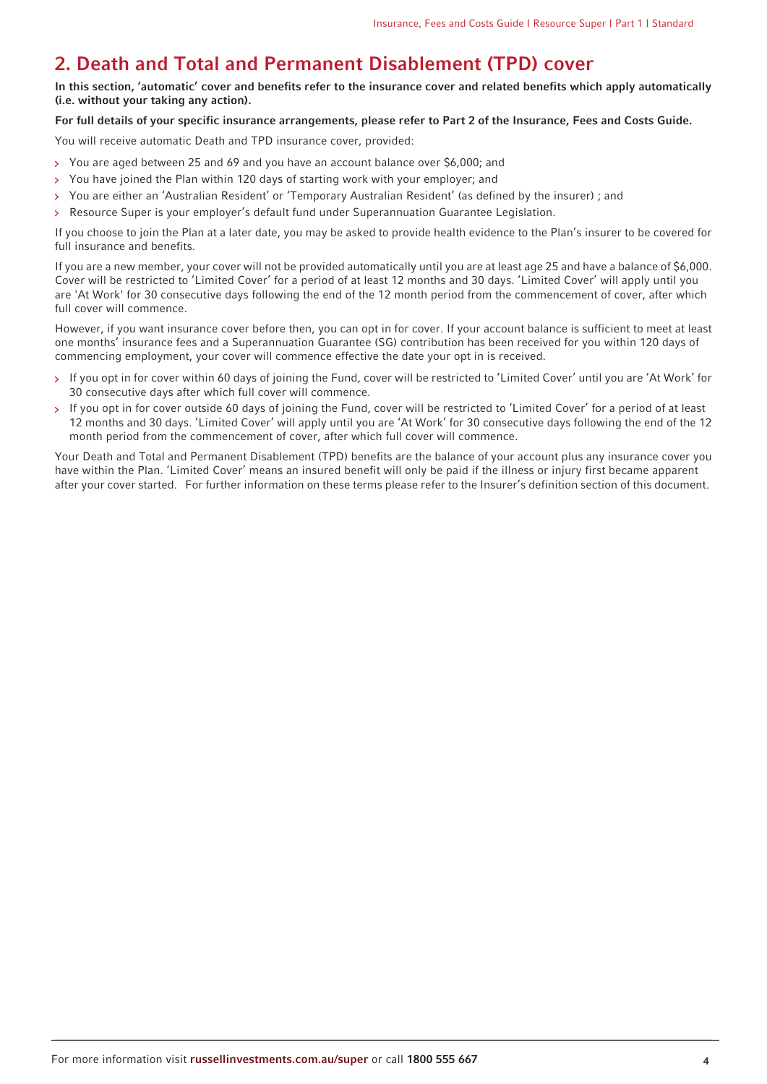# <span id="page-3-0"></span>**2. Death and Total and Permanent Disablement (TPD) cover**

**In this section, 'automatic' cover and benefits refer to the insurance cover and related benefits which apply automatically (i.e. without your taking any action).**

#### **For full details of your specific insurance arrangements, please refer to Part 2 of the Insurance, Fees and Costs Guide.**

You will receive automatic Death and TPD insurance cover, provided:

- You are aged between 25 and 69 and you have an account balance over \$6,000; and
- You have joined the Plan within 120 days of starting work with your employer; and  $\overline{\mathbf{y}}$
- You are either an 'Australian Resident' or 'Temporary Australian Resident' (as defined by the insurer) ; and  $\overline{\phantom{a}}$
- Resource Super is your employer's default fund under Superannuation Guarantee Legislation.

If you choose to join the Plan at a later date, you may be asked to provide health evidence to the Plan's insurer to be covered for full insurance and benefits.

If you are a new member, your cover will not be provided automatically until you are at least age 25 and have a balance of \$6,000. Cover will be restricted to 'Limited Cover' for a period of at least 12 months and 30 days. 'Limited Cover' will apply until you are 'At Work' for 30 consecutive days following the end of the 12 month period from the commencement of cover, after which full cover will commence.

However, if you want insurance cover before then, you can opt in for cover. If your account balance is sufficient to meet at least one months' insurance fees and a Superannuation Guarantee (SG) contribution has been received for you within 120 days of commencing employment, your cover will commence effective the date your opt in is received.

- > If you opt in for cover within 60 days of joining the Fund, cover will be restricted to 'Limited Cover' until you are 'At Work' for 30 consecutive days after which full cover will commence.
- > If you opt in for cover outside 60 days of joining the Fund, cover will be restricted to 'Limited Cover' for a period of at least 12 months and 30 days. 'Limited Cover' will apply until you are 'At Work' for 30 consecutive days following the end of the 12 month period from the commencement of cover, after which full cover will commence.

Your Death and Total and Permanent Disablement (TPD) benefits are the balance of your account plus any insurance cover you have within the Plan. 'Limited Cover' means an insured benefit will only be paid if the illness or injury first became apparent after your cover started. For further information on these terms please refer to the Insurer's definition section of this document.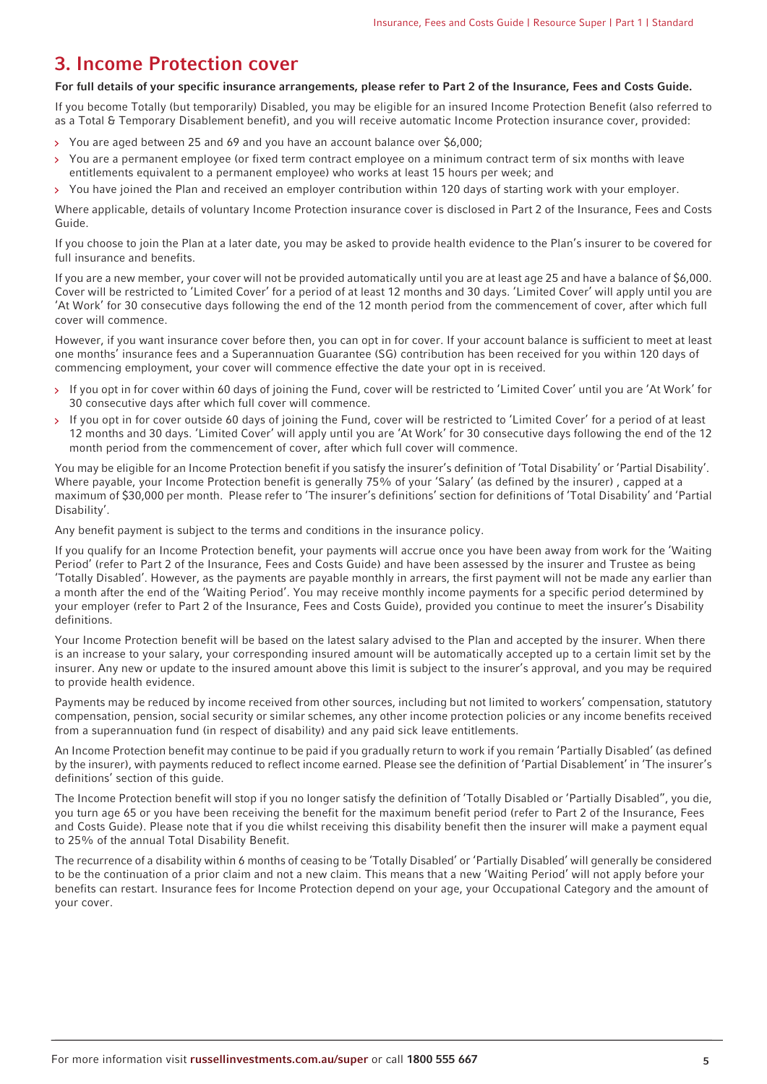# <span id="page-4-0"></span>**3. Income Protection cover**

#### **For full details of your specific insurance arrangements, please refer to Part 2 of the Insurance, Fees and Costs Guide.**

If you become Totally (but temporarily) Disabled, you may be eligible for an insured Income Protection Benefit (also referred to as a Total & Temporary Disablement benefit), and you will receive automatic Income Protection insurance cover, provided:

- You are aged between 25 and 69 and you have an account balance over \$6,000;  $\rightarrow$
- $\rightarrow$ You are a permanent employee (or fixed term contract employee on a minimum contract term of six months with leave entitlements equivalent to a permanent employee) who works at least 15 hours per week; and
- You have joined the Plan and received an employer contribution within 120 days of starting work with your employer.  $\overline{\mathbf{y}}$

Where applicable, details of voluntary Income Protection insurance cover is disclosed in Part 2 of the Insurance, Fees and Costs Guide.

If you choose to join the Plan at a later date, you may be asked to provide health evidence to the Plan's insurer to be covered for full insurance and benefits.

If you are a new member, your cover will not be provided automatically until you are at least age 25 and have a balance of \$6,000. Cover will be restricted to 'Limited Cover' for a period of at least 12 months and 30 days. 'Limited Cover' will apply until you are 'At Work' for 30 consecutive days following the end of the 12 month period from the commencement of cover, after which full cover will commence.

However, if you want insurance cover before then, you can opt in for cover. If your account balance is sufficient to meet at least one months' insurance fees and a Superannuation Guarantee (SG) contribution has been received for you within 120 days of commencing employment, your cover will commence effective the date your opt in is received.

- If you opt in for cover within 60 days of joining the Fund, cover will be restricted to 'Limited Cover' until you are 'At Work' for  $\rightarrow$ 30 consecutive days after which full cover will commence.
- If you opt in for cover outside 60 days of joining the Fund, cover will be restricted to 'Limited Cover' for a period of at least  $\mathbf{S}$ 12 months and 30 days. 'Limited Cover' will apply until you are 'At Work' for 30 consecutive days following the end of the 12 month period from the commencement of cover, after which full cover will commence.

You may be eligible for an Income Protection benefit if you satisfy the insurer's definition of 'Total Disability' or 'Partial Disability'. Where payable, your Income Protection benefit is generally 75% of your 'Salary' (as defined by the insurer) , capped at a maximum of \$30,000 per month. Please refer to 'The insurer's definitions' section for definitions of 'Total Disability' and 'Partial Disability'.

Any benefit payment is subject to the terms and conditions in the insurance policy.

If you qualify for an Income Protection benefit, your payments will accrue once you have been away from work for the 'Waiting Period' (refer to Part 2 of the Insurance, Fees and Costs Guide) and have been assessed by the insurer and Trustee as being 'Totally Disabled'. However, as the payments are payable monthly in arrears, the first payment will not be made any earlier than a month after the end of the 'Waiting Period'. You may receive monthly income payments for a specific period determined by your employer (refer to Part 2 of the Insurance, Fees and Costs Guide), provided you continue to meet the insurer's Disability definitions.

Your Income Protection benefit will be based on the latest salary advised to the Plan and accepted by the insurer. When there is an increase to your salary, your corresponding insured amount will be automatically accepted up to a certain limit set by the insurer. Any new or update to the insured amount above this limit is subject to the insurer's approval, and you may be required to provide health evidence.

Payments may be reduced by income received from other sources, including but not limited to workers' compensation, statutory compensation, pension, social security or similar schemes, any other income protection policies or any income benefits received from a superannuation fund (in respect of disability) and any paid sick leave entitlements.

An Income Protection benefit may continue to be paid if you gradually return to work if you remain 'Partially Disabled' (as defined by the insurer), with payments reduced to reflect income earned. Please see the definition of 'Partial Disablement' in 'The insurer's definitions' section of this guide.

The Income Protection benefit will stop if you no longer satisfy the definition of 'Totally Disabled or 'Partially Disabled", you die, you turn age 65 or you have been receiving the benefit for the maximum benefit period (refer to Part 2 of the Insurance, Fees and Costs Guide). Please note that if you die whilst receiving this disability benefit then the insurer will make a payment equal to 25% of the annual Total Disability Benefit.

The recurrence of a disability within 6 months of ceasing to be 'Totally Disabled' or 'Partially Disabled' will generally be considered to be the continuation of a prior claim and not a new claim. This means that a new 'Waiting Period' will not apply before your benefits can restart. Insurance fees for Income Protection depend on your age, your Occupational Category and the amount of your cover.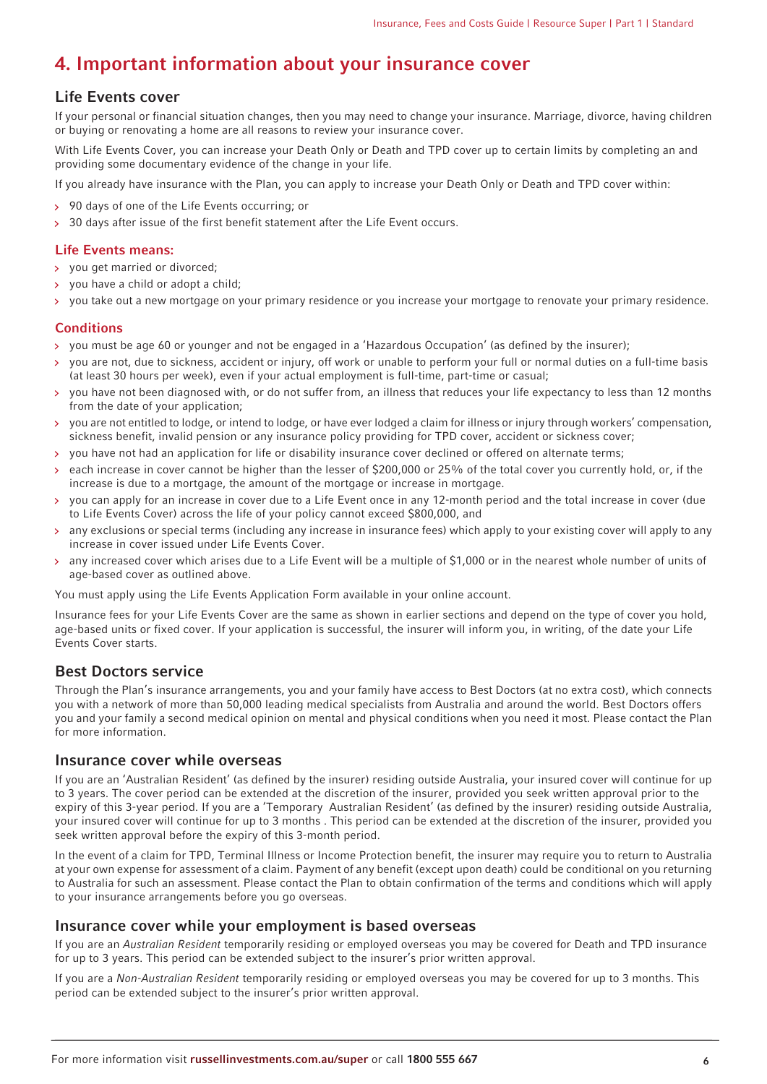# <span id="page-5-0"></span>**4. Important information about your insurance cover**

# **Life Events cover**

If your personal or financial situation changes, then you may need to change your insurance. Marriage, divorce, having children or buying or renovating a home are all reasons to review your insurance cover.

With Life Events Cover, you can increase your Death Only or Death and TPD cover up to certain limits by completing an and providing some documentary evidence of the change in your life.

If you already have insurance with the Plan, you can apply to increase your Death Only or Death and TPD cover within:

- 90 days of one of the Life Events occurring; or
- $>$  30 days after issue of the first benefit statement after the Life Event occurs.

#### **Life Events means:**

- you get married or divorced;
- you have a child or adopt a child;
- you take out a new mortgage on your primary residence or you increase your mortgage to renovate your primary residence.

#### **Conditions**

- you must be age 60 or younger and not be engaged in a 'Hazardous Occupation' (as defined by the insurer);
- you are not, due to sickness, accident or injury, off work or unable to perform your full or normal duties on a full-time basis  $\rightarrow$ (at least 30 hours per week), even if your actual employment is full-time, part-time or casual;
- you have not been diagnosed with, or do not suffer from, an illness that reduces your life expectancy to less than 12 months from the date of your application;
- you are not entitled to lodge, or intend to lodge, or have ever lodged a claim for illness or injury through workers' compensation, sickness benefit, invalid pension or any insurance policy providing for TPD cover, accident or sickness cover;
- you have not had an application for life or disability insurance cover declined or offered on alternate terms;
- each increase in cover cannot be higher than the lesser of \$200,000 or 25% of the total cover you currently hold, or, if the increase is due to a mortgage, the amount of the mortgage or increase in mortgage.
- you can apply for an increase in cover due to a Life Event once in any 12-month period and the total increase in cover (due to Life Events Cover) across the life of your policy cannot exceed \$800,000, and
- any exclusions or special terms (including any increase in insurance fees) which apply to your existing cover will apply to any increase in cover issued under Life Events Cover.
- any increased cover which arises due to a Life Event will be a multiple of \$1,000 or in the nearest whole number of units of  $\rightarrow$ age-based cover as outlined above.

You must apply using the Life Events Application Form available in your online account.

Insurance fees for your Life Events Cover are the same as shown in earlier sections and depend on the type of cover you hold, age-based units or fixed cover. If your application is successful, the insurer will inform you, in writing, of the date your Life Events Cover starts.

## **Best Doctors service**

Through the Plan's insurance arrangements, you and your family have access to Best Doctors (at no extra cost), which connects you with a network of more than 50,000 leading medical specialists from Australia and around the world. Best Doctors offers you and your family a second medical opinion on mental and physical conditions when you need it most. Please contact the Plan for more information.

## **Insurance cover while overseas**

If you are an 'Australian Resident' (as defined by the insurer) residing outside Australia, your insured cover will continue for up to 3 years. The cover period can be extended at the discretion of the insurer, provided you seek written approval prior to the expiry of this 3-year period. If you are a 'Temporary Australian Resident' (as defined by the insurer) residing outside Australia, your insured cover will continue for up to 3 months . This period can be extended at the discretion of the insurer, provided you seek written approval before the expiry of this 3-month period.

In the event of a claim for TPD, Terminal Illness or Income Protection benefit, the insurer may require you to return to Australia at your own expense for assessment of a claim. Payment of any benefit (except upon death) could be conditional on you returning to Australia for such an assessment. Please contact the Plan to obtain confirmation of the terms and conditions which will apply to your insurance arrangements before you go overseas.

#### **Insurance cover while your employment is based overseas**

If you are an Australian Resident temporarily residing or employed overseas you may be covered for Death and TPD insurance for up to 3 years. This period can be extended subject to the insurer's prior written approval.

If you are a Non-Australian Resident temporarily residing or employed overseas you may be covered for up to 3 months. This period can be extended subject to the insurer's prior written approval.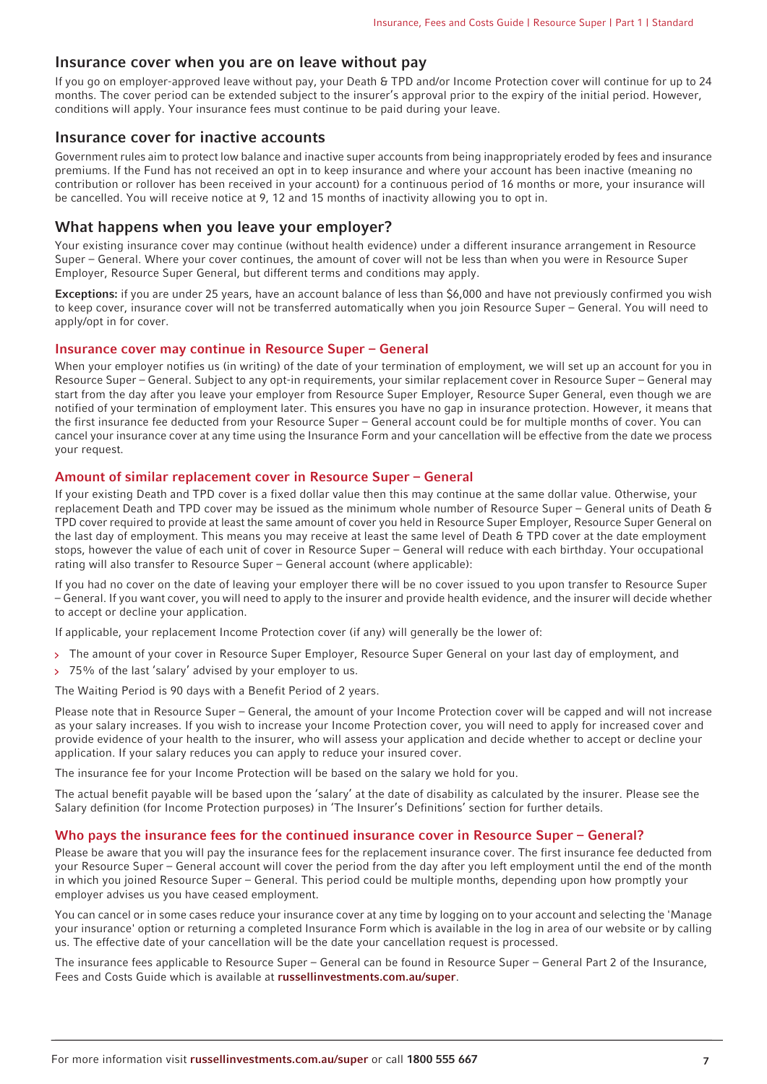#### **Insurance cover when you are on leave without pay**

If you go on employer-approved leave without pay, your Death & TPD and/or Income Protection cover will continue for up to 24 months. The cover period can be extended subject to the insurer's approval prior to the expiry of the initial period. However, conditions will apply. Your insurance fees must continue to be paid during your leave.

#### **Insurance cover for inactive accounts**

Government rules aim to protect low balance and inactive super accounts from being inappropriately eroded by fees and insurance premiums. If the Fund has not received an opt in to keep insurance and where your account has been inactive (meaning no contribution or rollover has been received in your account) for a continuous period of 16 months or more, your insurance will be cancelled. You will receive notice at 9, 12 and 15 months of inactivity allowing you to opt in.

#### **What happens when you leave your employer?**

Your existing insurance cover may continue (without health evidence) under a different insurance arrangement in Resource Super – General. Where your cover continues, the amount of cover will not be less than when you were in Resource Super Employer, Resource Super General, but different terms and conditions may apply.

**Exceptions:** if you are under 25 years, have an account balance of less than \$6,000 and have not previously confirmed you wish to keep cover, insurance cover will not be transferred automatically when you join Resource Super – General. You will need to apply/opt in for cover.

#### **Insurance cover may continue in Resource Super – General**

When your employer notifies us (in writing) of the date of your termination of employment, we will set up an account for you in Resource Super – General. Subject to any opt-in requirements, your similar replacement cover in Resource Super – General may start from the day after you leave your employer from Resource Super Employer, Resource Super General, even though we are notified of your termination of employment later. This ensures you have no gap in insurance protection. However, it means that the first insurance fee deducted from your Resource Super – General account could be for multiple months of cover. You can cancel your insurance cover at any time using the Insurance Form and your cancellation will be effective from the date we process your request.

#### **Amount of similar replacement cover in Resource Super – General**

If your existing Death and TPD cover is a fixed dollar value then this may continue at the same dollar value. Otherwise, your replacement Death and TPD cover may be issued as the minimum whole number of Resource Super – General units of Death & TPD cover required to provide at least the same amount of cover you held in Resource Super Employer, Resource Super General on the last day of employment. This means you may receive at least the same level of Death & TPD cover at the date employment stops, however the value of each unit of cover in Resource Super – General will reduce with each birthday. Your occupational rating will also transfer to Resource Super – General account (where applicable):

If you had no cover on the date of leaving your employer there will be no cover issued to you upon transfer to Resource Super – General. If you want cover, you will need to apply to the insurer and provide health evidence, and the insurer will decide whether to accept or decline your application.

If applicable, your replacement Income Protection cover (if any) will generally be the lower of:

- > The amount of your cover in Resource Super Employer, Resource Super General on your last day of employment, and
- 75% of the last 'salary' advised by your employer to us.

The Waiting Period is 90 days with a Benefit Period of 2 years.

Please note that in Resource Super – General, the amount of your Income Protection cover will be capped and will not increase as your salary increases. If you wish to increase your Income Protection cover, you will need to apply for increased cover and provide evidence of your health to the insurer, who will assess your application and decide whether to accept or decline your application. If your salary reduces you can apply to reduce your insured cover.

The insurance fee for your Income Protection will be based on the salary we hold for you.

The actual benefit payable will be based upon the 'salary' at the date of disability as calculated by the insurer. Please see the Salary definition (for Income Protection purposes) in 'The Insurer's Definitions' section for further details.

#### **Who pays the insurance fees for the continued insurance cover in Resource Super – General?**

Please be aware that you will pay the insurance fees for the replacement insurance cover. The first insurance fee deducted from your Resource Super – General account will cover the period from the day after you left employment until the end of the month in which you joined Resource Super – General. This period could be multiple months, depending upon how promptly your employer advises us you have ceased employment.

You can cancel or in some cases reduce your insurance cover at any time by logging on to your account and selecting the 'Manage your insurance' option or returning a completed Insurance Form which is available in the log in area of our website or by calling us. The effective date of your cancellation will be the date your cancellation request is processed.

The insurance fees applicable to Resource Super – General can be found in Resource Super – General Part 2 of the Insurance, Fees and Costs Guide which is available at **[russellinvestments.com.au/super](https://russellinvestments.com.au/super)**.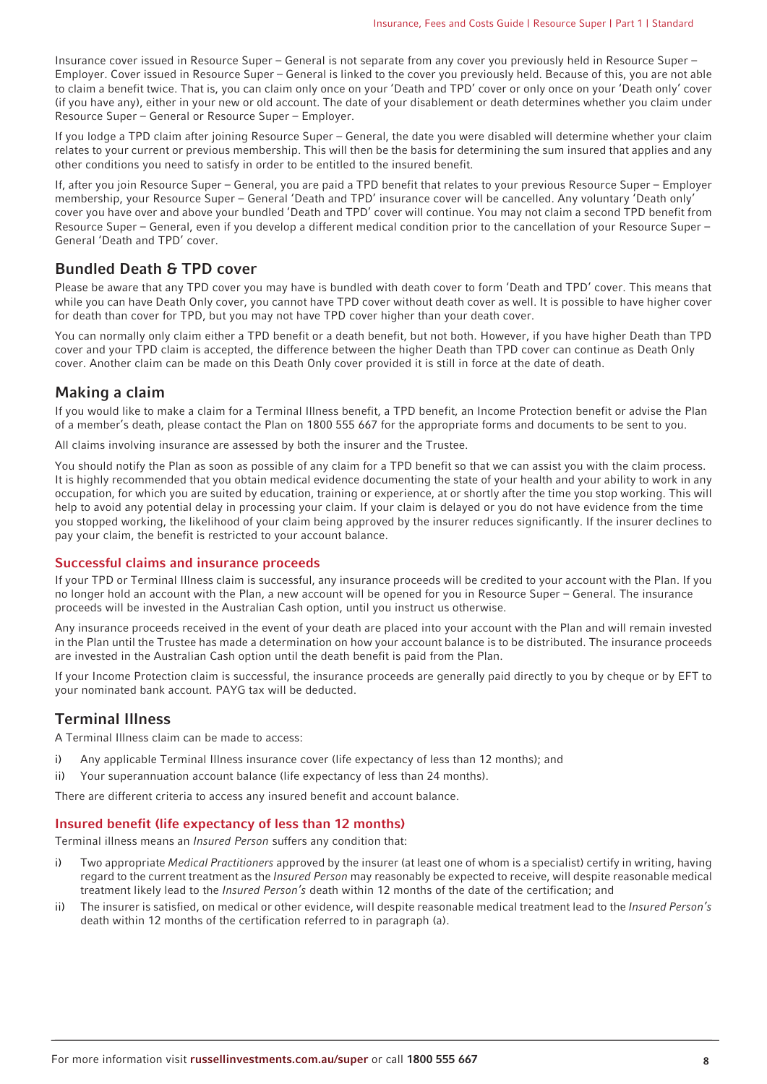Insurance cover issued in Resource Super – General is not separate from any cover you previously held in Resource Super – Employer. Cover issued in Resource Super – General is linked to the cover you previously held. Because of this, you are not able to claim a benefit twice. That is, you can claim only once on your 'Death and TPD' cover or only once on your 'Death only' cover (if you have any), either in your new or old account. The date of your disablement or death determines whether you claim under Resource Super – General or Resource Super – Employer.

If you lodge a TPD claim after joining Resource Super – General, the date you were disabled will determine whether your claim relates to your current or previous membership. This will then be the basis for determining the sum insured that applies and any other conditions you need to satisfy in order to be entitled to the insured benefit.

If, after you join Resource Super – General, you are paid a TPD benefit that relates to your previous Resource Super – Employer membership, your Resource Super – General 'Death and TPD' insurance cover will be cancelled. Any voluntary 'Death only' cover you have over and above your bundled 'Death and TPD' cover will continue. You may not claim a second TPD benefit from Resource Super – General, even if you develop a different medical condition prior to the cancellation of your Resource Super – General 'Death and TPD' cover.

## **Bundled Death & TPD cover**

Please be aware that any TPD cover you may have is bundled with death cover to form 'Death and TPD' cover. This means that while you can have Death Only cover, you cannot have TPD cover without death cover as well. It is possible to have higher cover for death than cover for TPD, but you may not have TPD cover higher than your death cover.

You can normally only claim either a TPD benefit or a death benefit, but not both. However, if you have higher Death than TPD cover and your TPD claim is accepted, the difference between the higher Death than TPD cover can continue as Death Only cover. Another claim can be made on this Death Only cover provided it is still in force at the date of death.

# **Making a claim**

If you would like to make a claim for a Terminal Illness benefit, a TPD benefit, an Income Protection benefit or advise the Plan of a member's death, please contact the Plan on 1800 555 667 for the appropriate forms and documents to be sent to you.

All claims involving insurance are assessed by both the insurer and the Trustee.

You should notify the Plan as soon as possible of any claim for a TPD benefit so that we can assist you with the claim process. It is highly recommended that you obtain medical evidence documenting the state of your health and your ability to work in any occupation, for which you are suited by education, training or experience, at or shortly after the time you stop working. This will help to avoid any potential delay in processing your claim. If your claim is delayed or you do not have evidence from the time you stopped working, the likelihood of your claim being approved by the insurer reduces significantly. If the insurer declines to pay your claim, the benefit is restricted to your account balance.

#### **Successful claims and insurance proceeds**

If your TPD or Terminal Illness claim is successful, any insurance proceeds will be credited to your account with the Plan. If you no longer hold an account with the Plan, a new account will be opened for you in Resource Super – General. The insurance proceeds will be invested in the Australian Cash option, until you instruct us otherwise.

Any insurance proceeds received in the event of your death are placed into your account with the Plan and will remain invested in the Plan until the Trustee has made a determination on how your account balance is to be distributed. The insurance proceeds are invested in the Australian Cash option until the death benefit is paid from the Plan.

If your Income Protection claim is successful, the insurance proceeds are generally paid directly to you by cheque or by EFT to your nominated bank account. PAYG tax will be deducted.

# **Terminal Illness**

A Terminal Illness claim can be made to access:

- i) Any applicable Terminal Illness insurance cover (life expectancy of less than 12 months); and
- ii) Your superannuation account balance (life expectancy of less than 24 months).

There are different criteria to access any insured benefit and account balance.

#### **Insured benefit (life expectancy of less than 12 months)**

Terminal illness means an Insured Person suffers any condition that:

- i) Two appropriate Medical Practitioners approved by the insurer (at least one of whom is a specialist) certify in writing, having regard to the current treatment as the Insured Person may reasonably be expected to receive, will despite reasonable medical treatment likely lead to the Insured Person's death within 12 months of the date of the certification; and
- ii) The insurer is satisfied, on medical or other evidence, will despite reasonable medical treatment lead to the *Insured Person's* death within 12 months of the certification referred to in paragraph (a).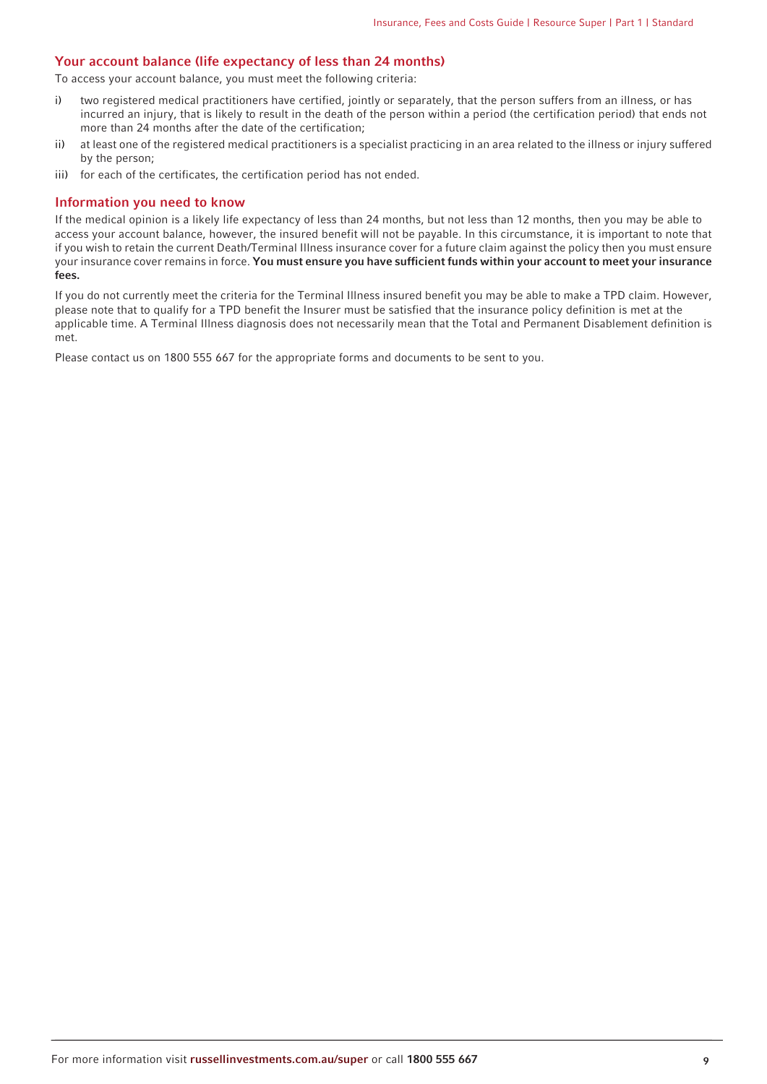#### **Your account balance (life expectancy of less than 24 months)**

To access your account balance, you must meet the following criteria:

- i) two registered medical practitioners have certified, jointly or separately, that the person suffers from an illness, or has incurred an injury, that is likely to result in the death of the person within a period (the certification period) that ends not more than 24 months after the date of the certification;
- ii) at least one of the registered medical practitioners is a specialist practicing in an area related to the illness or injury suffered by the person;
- iii) for each of the certificates, the certification period has not ended.

#### **Information you need to know**

If the medical opinion is a likely life expectancy of less than 24 months, but not less than 12 months, then you may be able to access your account balance, however, the insured benefit will not be payable. In this circumstance, it is important to note that if you wish to retain the current Death/Terminal Illness insurance cover for a future claim against the policy then you must ensure your insurance cover remains in force. **You must ensure you have sufficient funds within your account to meet your insurance fees.**

If you do not currently meet the criteria for the Terminal Illness insured benefit you may be able to make a TPD claim. However, please note that to qualify for a TPD benefit the Insurer must be satisfied that the insurance policy definition is met at the applicable time. A Terminal Illness diagnosis does not necessarily mean that the Total and Permanent Disablement definition is met.

Please contact us on 1800 555 667 for the appropriate forms and documents to be sent to you.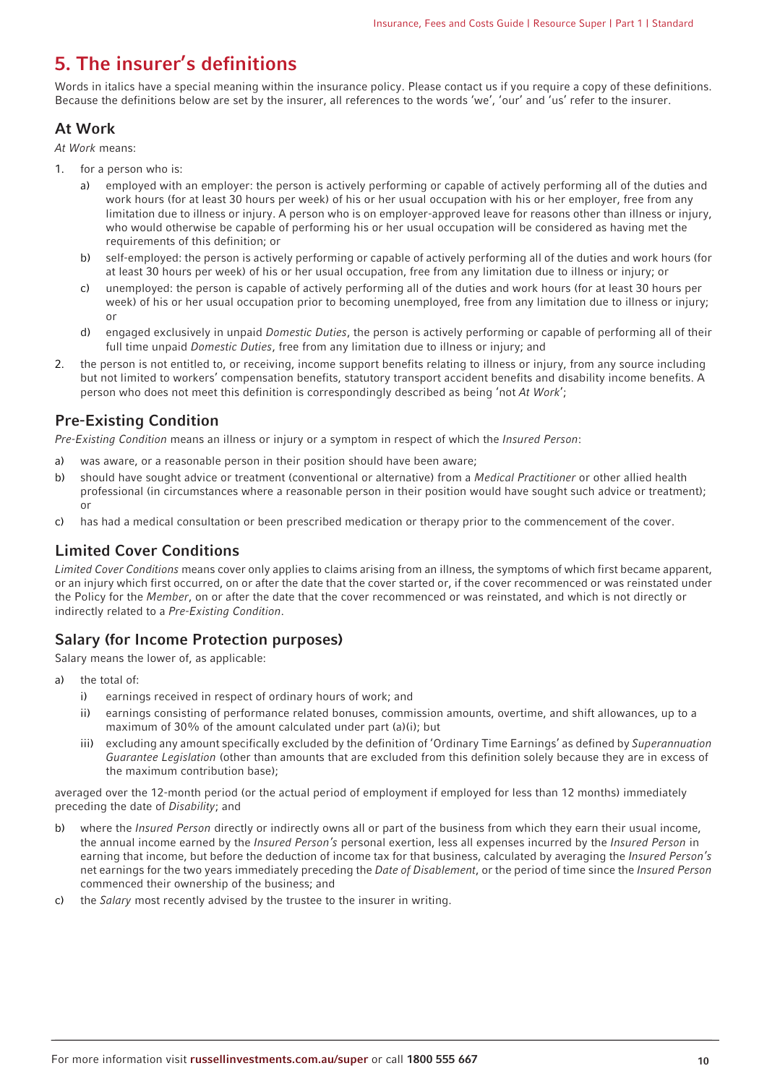# <span id="page-9-0"></span>**5. The insurer's definitions**

Words in italics have a special meaning within the insurance policy. Please contact us if you require a copy of these definitions. Because the definitions below are set by the insurer, all references to the words 'we', 'our' and 'us' refer to the insurer.

# **At Work**

At Work means:

- 1. for a person who is:
	- a) employed with an employer: the person is actively performing or capable of actively performing all of the duties and work hours (for at least 30 hours per week) of his or her usual occupation with his or her employer, free from any limitation due to illness or injury. A person who is on employer-approved leave for reasons other than illness or injury, who would otherwise be capable of performing his or her usual occupation will be considered as having met the requirements of this definition; or
	- b) self-employed: the person is actively performing or capable of actively performing all of the duties and work hours (for at least 30 hours per week) of his or her usual occupation, free from any limitation due to illness or injury; or
	- c) unemployed: the person is capable of actively performing all of the duties and work hours (for at least 30 hours per week) of his or her usual occupation prior to becoming unemployed, free from any limitation due to illness or injury; or
	- d) engaged exclusively in unpaid Domestic Duties, the person is actively performing or capable of performing all of their full time unpaid *Domestic Duties*, free from any limitation due to illness or injury; and
- 2. the person is not entitled to, or receiving, income support benefits relating to illness or injury, from any source including but not limited to workers' compensation benefits, statutory transport accident benefits and disability income benefits. A person who does not meet this definition is correspondingly described as being 'not At Work';

# **Pre-Existing Condition**

Pre-Existing Condition means an illness or injury or a symptom in respect of which the Insured Person:

- a) was aware, or a reasonable person in their position should have been aware;
- b) should have sought advice or treatment (conventional or alternative) from a Medical Practitioner or other allied health professional (in circumstances where a reasonable person in their position would have sought such advice or treatment); or
- c) has had a medical consultation or been prescribed medication or therapy prior to the commencement of the cover.

# **Limited Cover Conditions**

Limited Cover Conditions means cover only applies to claims arising from an illness, the symptoms of which first became apparent, or an injury which first occurred, on or after the date that the cover started or, if the cover recommenced or was reinstated under the Policy for the Member, on or after the date that the cover recommenced or was reinstated, and which is not directly or indirectly related to a Pre-Existing Condition.

# **Salary (for Income Protection purposes)**

Salary means the lower of, as applicable:

- a) the total of:
	- i) earnings received in respect of ordinary hours of work; and
	- ii) earnings consisting of performance related bonuses, commission amounts, overtime, and shift allowances, up to a maximum of 30% of the amount calculated under part (a)(i); but
	- iii) excluding any amount specifically excluded by the definition of 'Ordinary Time Earnings' as defined by Superannuation Guarantee Legislation (other than amounts that are excluded from this definition solely because they are in excess of the maximum contribution base);

averaged over the 12-month period (or the actual period of employment if employed for less than 12 months) immediately preceding the date of Disability; and

- b) where the *Insured Person* directly or indirectly owns all or part of the business from which they earn their usual income. the annual income earned by the *Insured Person's* personal exertion, less all expenses incurred by the *Insured Person* in earning that income, but before the deduction of income tax for that business, calculated by averaging the *Insured Person's* net earnings for the two years immediately preceding the Date of Disablement, or the period of time since the Insured Person commenced their ownership of the business; and
- c) the Salary most recently advised by the trustee to the insurer in writing.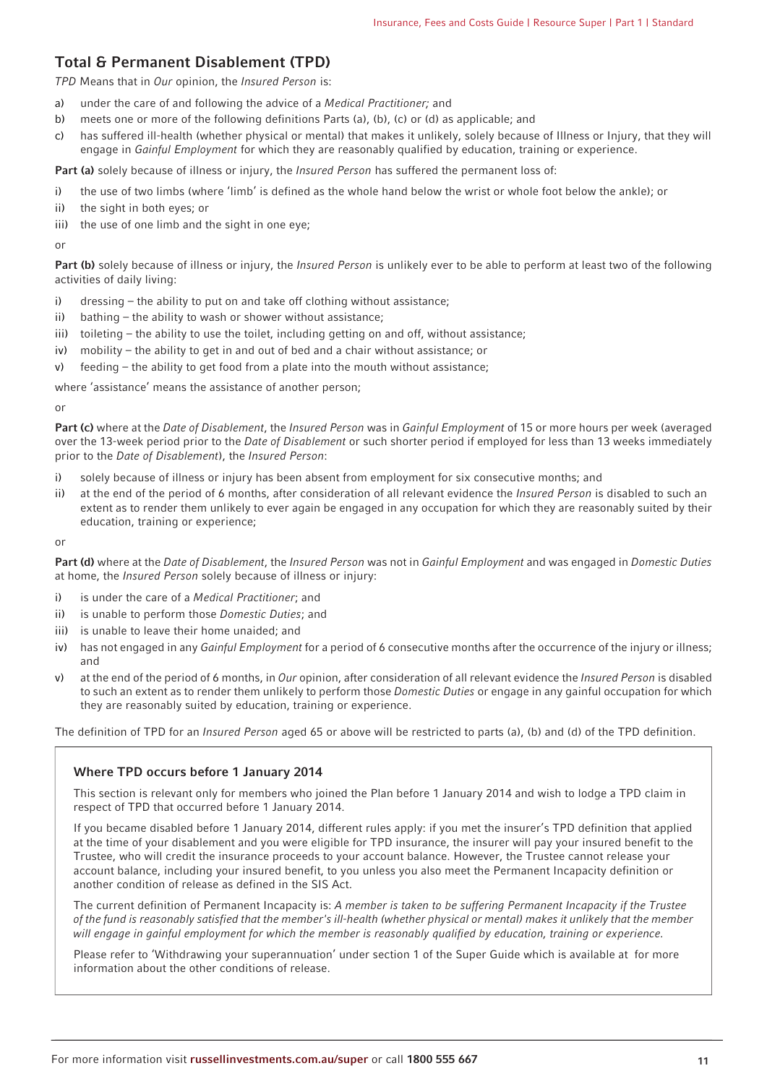# **Total & Permanent Disablement (TPD)**

TPD Means that in Our opinion, the Insured Person is:

- a) under the care of and following the advice of a Medical Practitioner; and
- b) meets one or more of the following definitions Parts (a), (b), (c) or (d) as applicable; and
- c) has suffered ill-health (whether physical or mental) that makes it unlikely, solely because of Illness or Injury, that they will engage in Gainful Employment for which they are reasonably qualified by education, training or experience.

**Part (a)** solely because of illness or injury, the *Insured Person* has suffered the permanent loss of:

- i) the use of two limbs (where 'limb' is defined as the whole hand below the wrist or whole foot below the ankle); or
- ii) the sight in both eyes; or
- iii) the use of one limb and the sight in one eye;

or

Part (b) solely because of illness or injury, the *Insured Person* is unlikely ever to be able to perform at least two of the following activities of daily living:

- i) dressing the ability to put on and take off clothing without assistance;
- ii) bathing the ability to wash or shower without assistance;
- iii) toileting the ability to use the toilet, including getting on and off, without assistance;
- iv) mobility the ability to get in and out of bed and a chair without assistance; or
- v) feeding the ability to get food from a plate into the mouth without assistance;

where 'assistance' means the assistance of another person;

or

Part (c) where at the Date of Disablement, the Insured Person was in Gainful Employment of 15 or more hours per week (averaged over the 13-week period prior to the Date of Disablement or such shorter period if employed for less than 13 weeks immediately prior to the Date of Disablement), the Insured Person:

- i) solely because of illness or injury has been absent from employment for six consecutive months; and
- ii) at the end of the period of 6 months, after consideration of all relevant evidence the *Insured Person* is disabled to such an extent as to render them unlikely to ever again be engaged in any occupation for which they are reasonably suited by their education, training or experience;

or

Part (d) where at the Date of Disablement, the Insured Person was not in Gainful Employment and was engaged in Domestic Duties at home, the Insured Person solely because of illness or injury:

- i) is under the care of a Medical Practitioner; and
- ii) is unable to perform those Domestic Duties; and
- iii) is unable to leave their home unaided; and
- iv) has not engaged in any Gainful Employment for a period of 6 consecutive months after the occurrence of the injury or illness; and
- v) at the end of the period of 6 months, in Our opinion, after consideration of all relevant evidence the Insured Person is disabled to such an extent as to render them unlikely to perform those Domestic Duties or engage in any gainful occupation for which they are reasonably suited by education, training or experience.

The definition of TPD for an Insured Person aged 65 or above will be restricted to parts (a), (b) and (d) of the TPD definition.

#### **Where TPD occurs before 1 January 2014**

This section is relevant only for members who joined the Plan before 1 January 2014 and wish to lodge a TPD claim in respect of TPD that occurred before 1 January 2014.

If you became disabled before 1 January 2014, different rules apply: if you met the insurer's TPD definition that applied at the time of your disablement and you were eligible for TPD insurance, the insurer will pay your insured benefit to the Trustee, who will credit the insurance proceeds to your account balance. However, the Trustee cannot release your account balance, including your insured benefit, to you unless you also meet the Permanent Incapacity definition or another condition of release as defined in the SIS Act.

The current definition of Permanent Incapacity is: A member is taken to be suffering Permanent Incapacity if the Trustee of the fund is reasonably satisfied that the member's ill-health (whether physical or mental) makes it unlikely that the member will engage in gainful employment for which the member is reasonably qualified by education, training or experience.

Please refer to 'Withdrawing your superannuation' under section 1 of the Super Guide which is available at for more information about the other conditions of release.